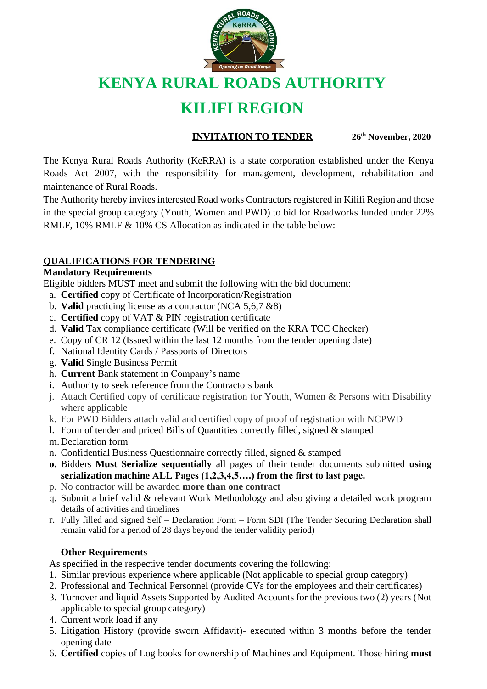

# **KENYA RURAL ROADS AUTHORITY**

## **KILIFI REGION**

#### **INVITATION TO TENDER 26th November, 2020**

The Kenya Rural Roads Authority (KeRRA) is a state corporation established under the Kenya Roads Act 2007, with the responsibility for management, development, rehabilitation and maintenance of Rural Roads.

The Authority hereby invites interested Road works Contractors registered in Kilifi Region and those in the special group category (Youth, Women and PWD) to bid for Roadworks funded under 22% RMLF, 10% RMLF & 10% CS Allocation as indicated in the table below:

### **QUALIFICATIONS FOR TENDERING**

#### **Mandatory Requirements**

Eligible bidders MUST meet and submit the following with the bid document:

- a. **Certified** copy of Certificate of Incorporation/Registration
- b. **Valid** practicing license as a contractor (NCA 5,6,7 &8)
- c. **Certified** copy of VAT & PIN registration certificate
- d. **Valid** Tax compliance certificate (Will be verified on the KRA TCC Checker)
- e. Copy of CR 12 (Issued within the last 12 months from the tender opening date)
- f. National Identity Cards / Passports of Directors
- g. **Valid** Single Business Permit
- h. **Current** Bank statement in Company's name
- i. Authority to seek reference from the Contractors bank
- j. Attach Certified copy of certificate registration for Youth, Women & Persons with Disability where applicable
- k. For PWD Bidders attach valid and certified copy of proof of registration with NCPWD
- l. Form of tender and priced Bills of Quantities correctly filled, signed & stamped
- m. Declaration form
- n. Confidential Business Questionnaire correctly filled, signed & stamped
- **o.** Bidders **Must Serialize sequentially** all pages of their tender documents submitted **using serialization machine ALL Pages (1,2,3,4,5….) from the first to last page.**
- p. No contractor will be awarded **more than one contract**
- q. Submit a brief valid & relevant Work Methodology and also giving a detailed work program details of activities and timelines
- r. Fully filled and signed Self Declaration Form Form SDI (The Tender Securing Declaration shall remain valid for a period of 28 days beyond the tender validity period)

#### **Other Requirements**

As specified in the respective tender documents covering the following:

- 1. Similar previous experience where applicable (Not applicable to special group category)
- 2. Professional and Technical Personnel (provide CVs for the employees and their certificates)
- 3. Turnover and liquid Assets Supported by Audited Accounts for the previous two (2) years (Not applicable to special group category)
- 4. Current work load if any
- 5. Litigation History (provide sworn Affidavit)- executed within 3 months before the tender opening date
- 6. **Certified** copies of Log books for ownership of Machines and Equipment. Those hiring **must**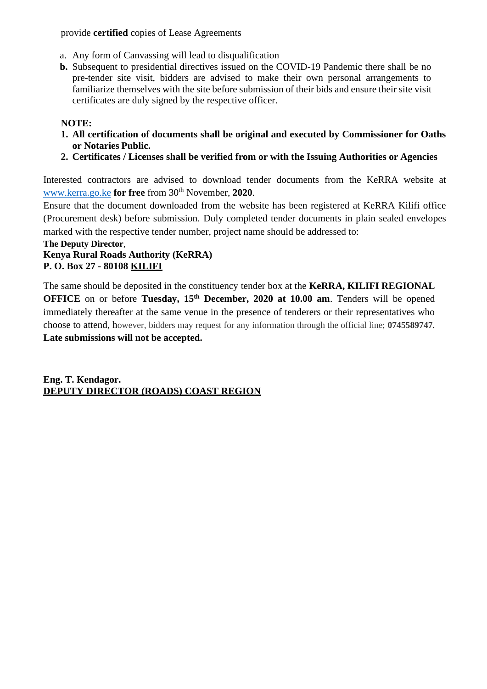provide **certified** copies of Lease Agreements

- a. Any form of Canvassing will lead to disqualification
- **b.** Subsequent to presidential directives issued on the COVID-19 Pandemic there shall be no pre-tender site visit, bidders are advised to make their own personal arrangements to familiarize themselves with the site before submission of their bids and ensure their site visit certificates are duly signed by the respective officer.

#### **NOTE:**

- **1. All certification of documents shall be original and executed by Commissioner for Oaths or Notaries Public.**
- **2. Certificates / Licenses shall be verified from or with the Issuing Authorities or Agencies**

Interested contractors are advised to download tender documents from the KeRRA website at [www.kerra.go.ke](http://www.kerra.go.ke/) **for free** from 30th November, **2020**.

Ensure that the document downloaded from the website has been registered at KeRRA Kilifi office (Procurement desk) before submission. Duly completed tender documents in plain sealed envelopes marked with the respective tender number, project name should be addressed to:

#### **The Deputy Director**,

#### **Kenya Rural Roads Authority (KeRRA) P. O. Box 27 - 80108 KILIFI**

The same should be deposited in the constituency tender box at the **KeRRA, KILIFI REGIONAL OFFICE** on or before **Tuesday, 15th December, 2020 at 10.00 am**. Tenders will be opened immediately thereafter at the same venue in the presence of tenderers or their representatives who choose to attend, however, bidders may request for any information through the official line; **0745589747**. **Late submissions will not be accepted.** 

**Eng. T. Kendagor. DEPUTY DIRECTOR (ROADS) COAST REGION**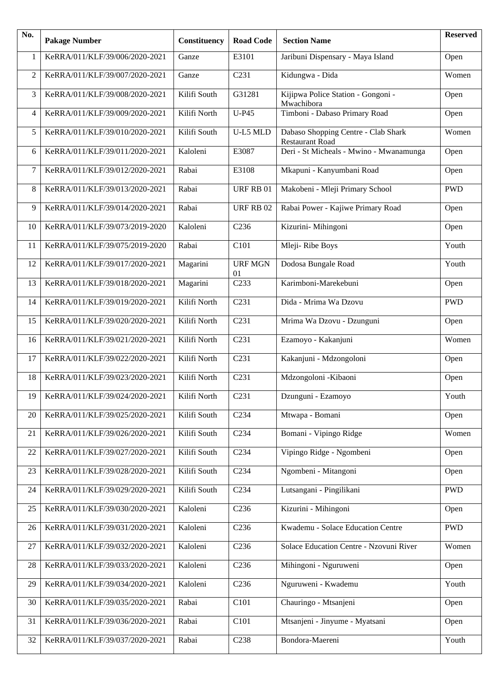| No. | <b>Pakage Number</b>                | Constituency | <b>Road Code</b>     | <b>Section Name</b>                                           | <b>Reserved</b> |
|-----|-------------------------------------|--------------|----------------------|---------------------------------------------------------------|-----------------|
| 1   | KeRRA/011/KLF/39/006/2020-2021      | Ganze        | E3101                | Jaribuni Dispensary - Maya Island                             | Open            |
| 2   | KeRRA/011/KLF/39/007/2020-2021      | Ganze        | C <sub>231</sub>     | Kidungwa - Dida                                               | Women           |
| 3   | KeRRA/011/KLF/39/008/2020-2021      | Kilifi South | G31281               | Kijipwa Police Station - Gongoni -<br>Mwachibora              | Open            |
| 4   | KeRRA/011/KLF/39/009/2020-2021      | Kilifi North | $U-P45$              | Timboni - Dabaso Primary Road                                 | Open            |
| 5   | KeRRA/011/KLF/39/010/2020-2021      | Kilifi South | U-L5 MLD             | Dabaso Shopping Centre - Clab Shark<br><b>Restaurant Road</b> | Women           |
| 6   | KeRRA/011/KLF/39/011/2020-2021      | Kaloleni     | E3087                | Deri - St Micheals - Mwino - Mwanamunga                       | Open            |
| 7   | KeRRA/011/KLF/39/012/2020-2021      | Rabai        | E3108                | Mkapuni - Kanyumbani Road                                     | Open            |
| 8   | KeRRA/011/KLF/39/013/2020-2021      | Rabai        | URF RB 01            | Makobeni - Mleji Primary School                               | <b>PWD</b>      |
| 9   | KeRRA/011/KLF/39/014/2020-2021      | Rabai        | URF RB 02            | Rabai Power - Kajiwe Primary Road                             | Open            |
| 10  | KeRRA/011/KLF/39/073/2019-2020      | Kaloleni     | C <sub>236</sub>     | Kizurini- Mihingoni                                           | Open            |
| 11  | KeRRA/011/KLF/39/075/2019-2020      | Rabai        | C101                 | Mleji-Ribe Boys                                               | Youth           |
| 12  | KeRRA/011/KLF/39/017/2020-2021      | Magarini     | <b>URF MGN</b><br>01 | Dodosa Bungale Road                                           | Youth           |
| 13  | KeRRA/011/KLF/39/018/2020-2021      | Magarini     | C <sub>233</sub>     | Karimboni-Marekebuni                                          | Open            |
| 14  | KeRRA/011/KLF/39/019/2020-2021      | Kilifi North | C <sub>231</sub>     | Dida - Mrima Wa Dzovu                                         | <b>PWD</b>      |
| 15  | KeRRA/011/KLF/39/020/2020-2021      | Kilifi North | C <sub>231</sub>     | Mrima Wa Dzovu - Dzunguni                                     | Open            |
| 16  | KeRRA/011/KLF/39/021/2020-2021      | Kilifi North | C <sub>231</sub>     | Ezamoyo - Kakanjuni                                           | Women           |
| 17  | KeRRA/011/KLF/39/022/2020-2021      | Kilifi North | C <sub>231</sub>     | Kakanjuni - Mdzongoloni                                       | Open            |
| 18  | KeRRA/011/KLF/39/023/2020-2021      | Kilifi North | C <sub>231</sub>     | Mdzongoloni - Kibaoni                                         | Open            |
|     | 19   KeRRA/011/KLF/39/024/2020-2021 | Kilifi North | C <sub>231</sub>     | Dzunguni - Ezamoyo                                            | Youth           |
| 20  | KeRRA/011/KLF/39/025/2020-2021      | Kilifi South | C <sub>234</sub>     | Mtwapa - Bomani                                               | Open            |
| 21  | KeRRA/011/KLF/39/026/2020-2021      | Kilifi South | C <sub>234</sub>     | Bomani - Vipingo Ridge                                        | Women           |
| 22  | KeRRA/011/KLF/39/027/2020-2021      | Kilifi South | C <sub>234</sub>     | Vipingo Ridge - Ngombeni                                      | Open            |
| 23  | KeRRA/011/KLF/39/028/2020-2021      | Kilifi South | C <sub>234</sub>     | Ngombeni - Mitangoni                                          | Open            |
| 24  | KeRRA/011/KLF/39/029/2020-2021      | Kilifi South | C <sub>234</sub>     | Lutsangani - Pingilikani                                      | <b>PWD</b>      |
| 25  | KeRRA/011/KLF/39/030/2020-2021      | Kaloleni     | C <sub>236</sub>     | Kizurini - Mihingoni                                          | Open            |
| 26  | KeRRA/011/KLF/39/031/2020-2021      | Kaloleni     | C <sub>236</sub>     | Kwademu - Solace Education Centre                             | <b>PWD</b>      |
| 27  | KeRRA/011/KLF/39/032/2020-2021      | Kaloleni     | C <sub>236</sub>     | Solace Education Centre - Nzovuni River                       | Women           |
| 28  | KeRRA/011/KLF/39/033/2020-2021      | Kaloleni     | C <sub>236</sub>     | Mihingoni - Nguruweni                                         | Open            |
| 29  | KeRRA/011/KLF/39/034/2020-2021      | Kaloleni     | C <sub>236</sub>     | Nguruweni - Kwademu                                           | Youth           |
| 30  | KeRRA/011/KLF/39/035/2020-2021      | Rabai        | C <sub>101</sub>     | Chauringo - Mtsanjeni                                         | Open            |
| 31  | KeRRA/011/KLF/39/036/2020-2021      | Rabai        | C <sub>101</sub>     | Mtsanjeni - Jinyume - Myatsani                                | Open            |
| 32  | KeRRA/011/KLF/39/037/2020-2021      | Rabai        | C <sub>238</sub>     | Bondora-Maereni                                               | Youth           |